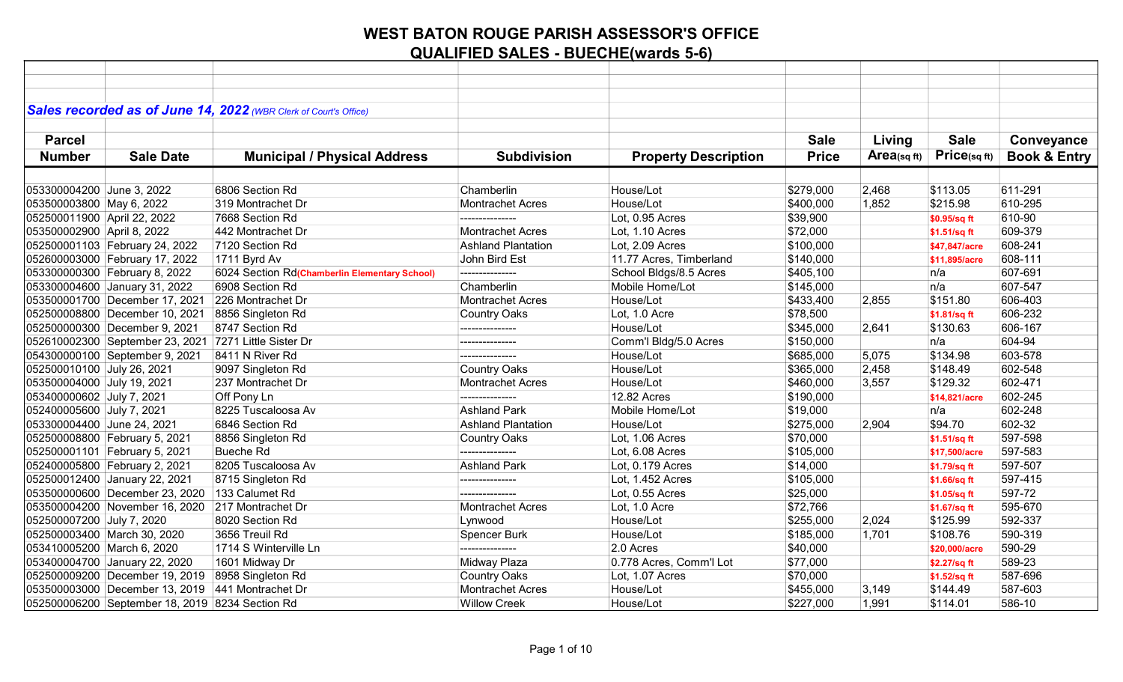|                             |                                                       | Sales recorded as of June 14, 2022 (WBR Clerk of Court's Office) |                           |                             |              |            |                   |                         |
|-----------------------------|-------------------------------------------------------|------------------------------------------------------------------|---------------------------|-----------------------------|--------------|------------|-------------------|-------------------------|
|                             |                                                       |                                                                  |                           |                             |              |            |                   |                         |
| <b>Parcel</b>               |                                                       |                                                                  |                           |                             | <b>Sale</b>  | Living     | <b>Sale</b>       | Conveyance              |
| <b>Number</b>               | <b>Sale Date</b>                                      | <b>Municipal / Physical Address</b>                              | <b>Subdivision</b>        | <b>Property Description</b> | <b>Price</b> | Area(sqft) | $Price_{(sq ft)}$ | <b>Book &amp; Entry</b> |
|                             |                                                       |                                                                  |                           |                             |              |            |                   |                         |
| 053300004200 June 3, 2022   |                                                       | 6806 Section Rd                                                  | Chamberlin                | House/Lot                   | \$279,000    | 2,468      | \$113.05          | 611-291                 |
| 053500003800 May 6, 2022    |                                                       | 319 Montrachet Dr                                                | Montrachet Acres          | House/Lot                   | \$400,000    | 1,852      | \$215.98          | 610-295                 |
| 052500011900 April 22, 2022 |                                                       | 7668 Section Rd                                                  |                           | Lot, 0.95 Acres             | \$39,900     |            | \$0.95/sq ft      | 610-90                  |
| 053500002900 April 8, 2022  |                                                       | 442 Montrachet Dr                                                | <b>Montrachet Acres</b>   | Lot, 1.10 Acres             | \$72,000     |            | \$1.51/sq ft      | 609-379                 |
|                             | 052500001103 February 24, 2022                        | 7120 Section Rd                                                  | <b>Ashland Plantation</b> | Lot, 2.09 Acres             | \$100,000    |            | \$47,847/acre     | 608-241                 |
|                             | 052600003000 February 17, 2022                        | 1711 Byrd Av                                                     | John Bird Est             | 11.77 Acres, Timberland     | \$140,000    |            | \$11,895/acre     | 608-111                 |
|                             | 053300000300 February 8, 2022                         | 6024 Section Rd(Chamberlin Elementary School)                    | ---------------           | School Bldgs/8.5 Acres      | \$405,100    |            | n/a               | 607-691                 |
|                             | 053300004600 January 31, 2022                         | 6908 Section Rd                                                  | Chamberlin                | Mobile Home/Lot             | \$145,000    |            | n/a               | 607-547                 |
|                             | 053500001700 December 17, 2021                        | 226 Montrachet Dr                                                | <b>Montrachet Acres</b>   | House/Lot                   | \$433,400    | 2,855      | \$151.80          | 606-403                 |
|                             | 052500008800 December 10, 2021                        | 8856 Singleton Rd                                                | <b>Country Oaks</b>       | Lot, 1.0 Acre               | \$78,500     |            | \$1.81/sq ft      | 606-232                 |
|                             | 052500000300 December 9, 2021                         | 8747 Section Rd                                                  | ---------------           | House/Lot                   | \$345,000    | 2,641      | \$130.63          | 606-167                 |
|                             | 052610002300 September 23, 2021 7271 Little Sister Dr |                                                                  | ---------------           | Comm'l Bldg/5.0 Acres       | \$150,000    |            | n/a               | 604-94                  |
|                             | 054300000100 September 9, 2021                        | 8411 N River Rd                                                  | ---------------           | House/Lot                   | \$685,000    | 5,075      | \$134.98          | 603-578                 |
| 052500010100 July 26, 2021  |                                                       | 9097 Singleton Rd                                                | <b>Country Oaks</b>       | House/Lot                   | \$365,000    | 2,458      | \$148.49          | 602-548                 |
| 053500004000 July 19, 2021  |                                                       | 237 Montrachet Dr                                                | Montrachet Acres          | House/Lot                   | \$460,000    | 3,557      | \$129.32          | 602-471                 |
| 053400000602 July 7, 2021   |                                                       | Off Pony Ln                                                      |                           | 12.82 Acres                 | \$190,000    |            | \$14,821/acre     | 602-245                 |
| 052400005600 July 7, 2021   |                                                       | 8225 Tuscaloosa Av                                               | <b>Ashland Park</b>       | Mobile Home/Lot             | \$19,000     |            | n/a               | 602-248                 |
| 053300004400 June 24, 2021  |                                                       | 6846 Section Rd                                                  | <b>Ashland Plantation</b> | House/Lot                   | \$275,000    | 2,904      | \$94.70           | 602-32                  |
|                             | 052500008800 February 5, 2021                         | 8856 Singleton Rd                                                | <b>Country Oaks</b>       | Lot, 1.06 Acres             | \$70,000     |            | \$1.51/sq ft      | 597-598                 |
|                             | 052500001101 February 5, 2021                         | <b>Bueche Rd</b>                                                 |                           | Lot, 6.08 Acres             | \$105,000    |            | \$17,500/acre     | 597-583                 |
|                             | 052400005800 February 2, 2021                         | 8205 Tuscaloosa Av                                               | <b>Ashland Park</b>       | Lot, 0.179 Acres            | \$14,000     |            | \$1.79/sq ft      | 597-507                 |
|                             | 052500012400 January 22, 2021                         | 8715 Singleton Rd                                                | ---------------           | Lot, 1.452 Acres            | \$105,000    |            | \$1.66/sq ft      | 597-415                 |
|                             | 053500000600 December 23, 2020                        | 133 Calumet Rd                                                   | ---------------           | Lot, 0.55 Acres             | \$25,000     |            | \$1.05/sq ft      | 597-72                  |
|                             | 053500004200 November 16, 2020                        | 217 Montrachet Dr                                                | <b>Montrachet Acres</b>   | Lot, 1.0 Acre               | \$72,766     |            | \$1.67/sq ft      | 595-670                 |
| 052500007200 July 7, 2020   |                                                       | 8020 Section Rd                                                  | Lynwood                   | House/Lot                   | \$255,000    | 2,024      | \$125.99          | 592-337                 |
|                             | 052500003400 March 30, 2020                           | 3656 Treuil Rd                                                   | Spencer Burk              | House/Lot                   | \$185,000    | 1,701      | \$108.76          | 590-319                 |
|                             | 053410005200 March 6, 2020                            | 1714 S Winterville Ln                                            | ---------------           | 2.0 Acres                   | \$40,000     |            | \$20,000/acre     | 590-29                  |
|                             | 053400004700 January 22, 2020                         | 1601 Midway Dr                                                   | Midway Plaza              | 0.778 Acres, Comm'l Lot     | \$77,000     |            | \$2.27/sq ft      | 589-23                  |
|                             | 052500009200 December 19, 2019                        | 8958 Singleton Rd                                                | <b>Country Oaks</b>       | Lot, 1.07 Acres             | \$70,000     |            | \$1.52/sq ft      | 587-696                 |
|                             | 053500003000 December 13, 2019                        | 441 Montrachet Dr                                                | <b>Montrachet Acres</b>   | House/Lot                   | \$455,000    | 3,149      | \$144.49          | 587-603                 |
|                             | 052500006200 September 18, 2019 8234 Section Rd       |                                                                  | <b>Willow Creek</b>       | House/Lot                   | \$227,000    | 1,991      | \$114.01          | 586-10                  |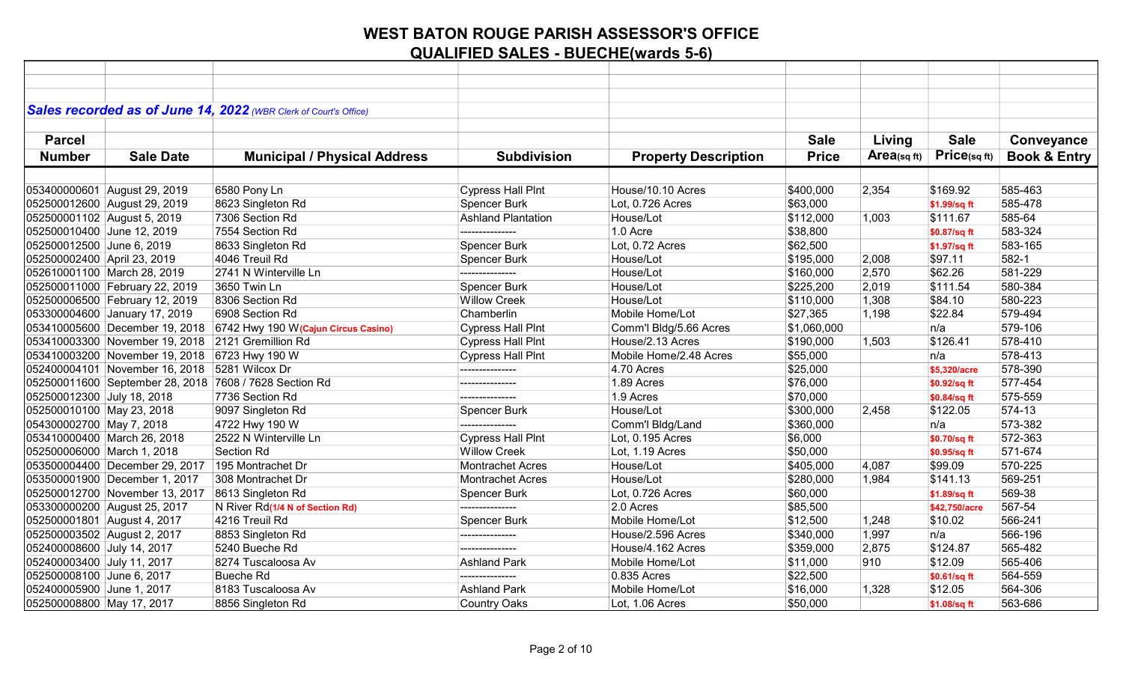|                             |                                                   | Sales recorded as of June 14, 2022 (WBR Clerk of Court's Office)   |                           |                             |              |            |                 |                         |
|-----------------------------|---------------------------------------------------|--------------------------------------------------------------------|---------------------------|-----------------------------|--------------|------------|-----------------|-------------------------|
|                             |                                                   |                                                                    |                           |                             |              |            |                 |                         |
| <b>Parcel</b>               |                                                   |                                                                    |                           |                             | <b>Sale</b>  | Living     | <b>Sale</b>     | Conveyance              |
| <b>Number</b>               | <b>Sale Date</b>                                  | <b>Municipal / Physical Address</b>                                | <b>Subdivision</b>        | <b>Property Description</b> | <b>Price</b> | Area(sqft) | $Price$ (sq ft) | <b>Book &amp; Entry</b> |
|                             |                                                   |                                                                    |                           |                             |              |            |                 |                         |
|                             | 053400000601 August 29, 2019                      | 6580 Pony Ln                                                       | <b>Cypress Hall PInt</b>  | House/10.10 Acres           | \$400,000    | 2,354      | \$169.92        | 585-463                 |
|                             | 052500012600 August 29, 2019                      | 8623 Singleton Rd                                                  | Spencer Burk              | Lot, 0.726 Acres            | \$63,000     |            | \$1.99/sq ft    | 585-478                 |
|                             | 052500001102 August 5, 2019                       | 7306 Section Rd                                                    | <b>Ashland Plantation</b> | House/Lot                   | \$112,000    | 1,003      | \$111.67        | 585-64                  |
|                             | 052500010400 June 12, 2019                        | 7554 Section Rd                                                    | ---------------           | 1.0 Acre                    | \$38,800     |            | \$0.87/sq ft    | 583-324                 |
| 052500012500 June 6, 2019   |                                                   | 8633 Singleton Rd                                                  | <b>Spencer Burk</b>       | Lot, 0.72 Acres             | \$62,500     |            | \$1.97/sq ft    | 583-165                 |
| 052500002400 April 23, 2019 |                                                   | 4046 Treuil Rd                                                     | <b>Spencer Burk</b>       | House/Lot                   | \$195,000    | 2,008      | \$97.11         | 582-1                   |
|                             | 052610001100 March 28, 2019                       | 2741 N Winterville Ln                                              | ---------------           | House/Lot                   | \$160,000    | 2,570      | \$62.26         | 581-229                 |
|                             | 052500011000 February 22, 2019                    | 3650 Twin Ln                                                       | Spencer Burk              | House/Lot                   | \$225,200    | 2,019      | \$111.54        | 580-384                 |
|                             | 052500006500 February 12, 2019                    | 8306 Section Rd                                                    | <b>Willow Creek</b>       | House/Lot                   | \$110,000    | 1,308      | \$84.10         | 580-223                 |
|                             | 053300004600 January 17, 2019                     | 6908 Section Rd                                                    | Chamberlin                | Mobile Home/Lot             | \$27,365     | 1,198      | \$22.84         | 579-494                 |
|                             |                                                   | 053410005600 December 19, 2018 6742 Hwy 190 W(Cajun Circus Casino) | <b>Cypress Hall PInt</b>  | Comm'l Bldg/5.66 Acres      | \$1,060,000  |            | n/a             | 579-106                 |
|                             | 053410003300 November 19, 2018 2121 Gremillion Rd |                                                                    | <b>Cypress Hall PInt</b>  | House/2.13 Acres            | \$190,000    | 1,503      | \$126.41        | 578-410                 |
|                             | 053410003200 November 19, 2018 6723 Hwy 190 W     |                                                                    | <b>Cypress Hall Pint</b>  | Mobile Home/2.48 Acres      | \$55,000     |            | n/a             | 578-413                 |
|                             | 052400004101 November 16, 2018 5281 Wilcox Dr     |                                                                    | ---------------           | 4.70 Acres                  | \$25,000     |            | \$5,320/acre    | 578-390                 |
|                             |                                                   | 052500011600 September 28, 2018 7608 / 7628 Section Rd             | ----------------          | 1.89 Acres                  | \$76,000     |            | \$0.92/sq ft    | 577-454                 |
| 052500012300 July 18, 2018  |                                                   | 7736 Section Rd                                                    | ---------------           | 1.9 Acres                   | \$70,000     |            | \$0.84/sq ft    | 575-559                 |
| 052500010100 May 23, 2018   |                                                   | 9097 Singleton Rd                                                  | Spencer Burk              | House/Lot                   | \$300,000    | 2,458      | \$122.05        | 574-13                  |
| 054300002700 May 7, 2018    |                                                   | 4722 Hwy 190 W                                                     |                           | Comm'l Bldg/Land            | \$360,000    |            | n/a             | 573-382                 |
|                             | 053410000400 March 26, 2018                       | 2522 N Winterville Ln                                              | <b>Cypress Hall PInt</b>  | Lot, 0.195 Acres            | \$6,000      |            | \$0.70/sq ft    | 572-363                 |
|                             | 052500006000 March 1, 2018                        | Section Rd                                                         | <b>Willow Creek</b>       | Lot, 1.19 Acres             | \$50,000     |            | \$0.95/sq ft    | 571-674                 |
|                             | 053500004400 December 29, 2017 195 Montrachet Dr  |                                                                    | <b>Montrachet Acres</b>   | House/Lot                   | \$405,000    | 4,087      | \$99.09         | 570-225                 |
|                             | 053500001900 December 1, 2017                     | 308 Montrachet Dr                                                  | <b>Montrachet Acres</b>   | House/Lot                   | \$280,000    | 1,984      | \$141.13        | 569-251                 |
|                             | 052500012700 November 13, 2017                    | 8613 Singleton Rd                                                  | <b>Spencer Burk</b>       | Lot, 0.726 Acres            | \$60,000     |            | \$1.89/sq ft    | 569-38                  |
|                             | 053300000200 August 25, 2017                      | N River Rd(1/4 N of Section Rd)                                    | ---------------           | 2.0 Acres                   | \$85,500     |            | \$42,750/acre   | 567-54                  |
|                             | 052500001801 August 4, 2017                       | 4216 Treuil Rd                                                     | Spencer Burk              | Mobile Home/Lot             | \$12,500     | 1,248      | \$10.02         | 566-241                 |
|                             | 052500003502 August 2, 2017                       | 8853 Singleton Rd                                                  | ---------------           | House/2.596 Acres           | \$340,000    | 1,997      | n/a             | 566-196                 |
| 052400008600 July 14, 2017  |                                                   | 5240 Bueche Rd                                                     | ---------------           | House/4.162 Acres           | \$359,000    | 2,875      | \$124.87        | 565-482                 |
| 052400003400 July 11, 2017  |                                                   | 8274 Tuscaloosa Av                                                 | <b>Ashland Park</b>       | Mobile Home/Lot             | \$11,000     | 910        | \$12.09         | 565-406                 |
| 052500008100 June 6, 2017   |                                                   | <b>Bueche Rd</b>                                                   | ---------------           | 0.835 Acres                 | \$22,500     |            | \$0.61/sq ft    | 564-559                 |
| 052400005900 June 1, 2017   |                                                   | 8183 Tuscaloosa Av                                                 | <b>Ashland Park</b>       | Mobile Home/Lot             | \$16,000     | 1,328      | \$12.05         | 564-306                 |
| 052500008800 May 17, 2017   |                                                   | 8856 Singleton Rd                                                  | <b>Country Oaks</b>       | Lot, 1.06 Acres             | \$50,000     |            | \$1.08/sq ft    | 563-686                 |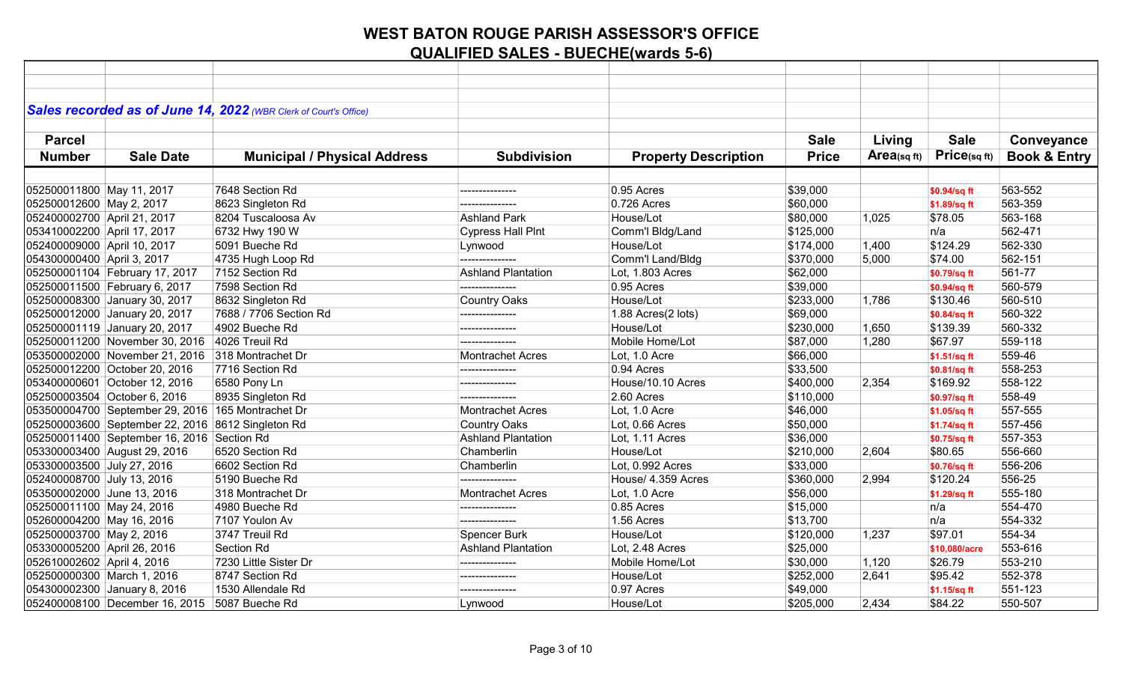|                             |                                                   | Sales recorded as of June 14, 2022 (WBR Clerk of Court's Office) |                           |                             |              |                         |                   |                         |
|-----------------------------|---------------------------------------------------|------------------------------------------------------------------|---------------------------|-----------------------------|--------------|-------------------------|-------------------|-------------------------|
|                             |                                                   |                                                                  |                           |                             |              |                         |                   |                         |
| <b>Parcel</b>               |                                                   |                                                                  |                           |                             | <b>Sale</b>  | Living                  | <b>Sale</b>       | Conveyance              |
| <b>Number</b>               | <b>Sale Date</b>                                  | <b>Municipal / Physical Address</b>                              | <b>Subdivision</b>        | <b>Property Description</b> | <b>Price</b> | Area <sub>(sq ft)</sub> | $Price_{(sq ft)}$ | <b>Book &amp; Entry</b> |
|                             |                                                   |                                                                  |                           |                             |              |                         |                   |                         |
| 052500011800 May 11, 2017   |                                                   | 7648 Section Rd                                                  | ---------------           | 0.95 Acres                  | \$39,000     |                         | \$0.94/sq ft      | 563-552                 |
| 052500012600 May 2, 2017    |                                                   | 8623 Singleton Rd                                                | ---------------           | 0.726 Acres                 | \$60,000     |                         | \$1.89/sq ft      | 563-359                 |
| 052400002700 April 21, 2017 |                                                   | 8204 Tuscaloosa Av                                               | <b>Ashland Park</b>       | House/Lot                   | \$80,000     | 1,025                   | \$78.05           | 563-168                 |
| 053410002200 April 17, 2017 |                                                   | 6732 Hwy 190 W                                                   | <b>Cypress Hall PInt</b>  | Comm'l Bldg/Land            | \$125,000    |                         | n/a               | 562-471                 |
| 052400009000 April 10, 2017 |                                                   | 5091 Bueche Rd                                                   | Lynwood                   | House/Lot                   | \$174,000    | 1,400                   | \$124.29          | 562-330                 |
| 054300000400 April 3, 2017  |                                                   | 4735 Hugh Loop Rd                                                |                           | Comm'l Land/Bldg            | \$370,000    | 5,000                   | \$74.00           | 562-151                 |
|                             | 052500001104 February 17, 2017                    | 7152 Section Rd                                                  | <b>Ashland Plantation</b> | Lot, 1.803 Acres            | \$62,000     |                         | \$0.79/sq ft      | 561-77                  |
|                             | 052500011500 February 6, 2017                     | 7598 Section Rd                                                  | ---------------           | 0.95 Acres                  | \$39,000     |                         | \$0.94/sq ft      | 560-579                 |
|                             | 052500008300 January 30, 2017                     | 8632 Singleton Rd                                                | <b>Country Oaks</b>       | House/Lot                   | \$233,000    | 1,786                   | \$130.46          | 560-510                 |
|                             | 052500012000 January 20, 2017                     | 7688 / 7706 Section Rd                                           | ---------------           | 1.88 Acres(2 lots)          | \$69,000     |                         | \$0.84/sq ft      | 560-322                 |
|                             | 052500001119 January 20, 2017                     | 4902 Bueche Rd                                                   | ---------------           | House/Lot                   | \$230,000    | 1,650                   | \$139.39          | 560-332                 |
|                             | 052500011200 November 30, 2016                    | 4026 Treuil Rd                                                   |                           | Mobile Home/Lot             | \$87,000     | 1,280                   | \$67.97           | 559-118                 |
|                             | 053500002000 November 21, 2016 318 Montrachet Dr  |                                                                  | Montrachet Acres          | Lot, 1.0 Acre               | \$66,000     |                         | \$1.51/sq ft      | 559-46                  |
|                             | 052500012200 October 20, 2016                     | 7716 Section Rd                                                  | ---------------           | 0.94 Acres                  | \$33,500     |                         | \$0.81/sq ft      | 558-253                 |
|                             | 053400000601 October 12, 2016                     | 6580 Pony Ln                                                     | ---------------           | House/10.10 Acres           | \$400,000    | 2,354                   | \$169.92          | 558-122                 |
|                             | 052500003504 October 6, 2016                      | 8935 Singleton Rd                                                |                           | 2.60 Acres                  | \$110,000    |                         | \$0.97/sq ft      | 558-49                  |
|                             | 053500004700 September 29, 2016 165 Montrachet Dr |                                                                  | <b>Montrachet Acres</b>   | Lot, 1.0 Acre               | \$46,000     |                         | \$1.05/sq ft      | 557-555                 |
|                             | 052500003600 September 22, 2016 8612 Singleton Rd |                                                                  | <b>Country Oaks</b>       | Lot, 0.66 Acres             | \$50,000     |                         | \$1.74/sq ft      | 557-456                 |
|                             | 052500011400 September 16, 2016 Section Rd        |                                                                  | <b>Ashland Plantation</b> | Lot, 1.11 Acres             | \$36,000     |                         | \$0.75/sq ft      | 557-353                 |
|                             | 053300003400 August 29, 2016                      | 6520 Section Rd                                                  | Chamberlin                | House/Lot                   | \$210,000    | 2,604                   | \$80.65           | 556-660                 |
| 053300003500 July 27, 2016  |                                                   | 6602 Section Rd                                                  | Chamberlin                | Lot, 0.992 Acres            | \$33,000     |                         | \$0.76/sq ft      | 556-206                 |
| 052400008700 July 13, 2016  |                                                   | 5190 Bueche Rd                                                   | ---------------           | House/ 4.359 Acres          | \$360,000    | 2,994                   | \$120.24          | 556-25                  |
| 053500002000 June 13, 2016  |                                                   | 318 Montrachet Dr                                                | <b>Montrachet Acres</b>   | Lot, 1.0 Acre               | \$56,000     |                         | \$1.29/sq ft      | 555-180                 |
| 052500011100 May 24, 2016   |                                                   | 4980 Bueche Rd                                                   | ---------------           | 0.85 Acres                  | \$15,000     |                         | n/a               | 554-470                 |
| 052600004200 May 16, 2016   |                                                   | 7107 Youlon Av                                                   | ---------------           | 1.56 Acres                  | \$13,700     |                         | n/a               | 554-332                 |
| 052500003700 May 2, 2016    |                                                   | 3747 Treuil Rd                                                   | Spencer Burk              | House/Lot                   | \$120,000    | 1,237                   | \$97.01           | 554-34                  |
| 053300005200 April 26, 2016 |                                                   | Section Rd                                                       | <b>Ashland Plantation</b> | Lot, 2.48 Acres             | \$25,000     |                         | \$10,080/acre     | 553-616                 |
| 052610002602 April 4, 2016  |                                                   | 7230 Little Sister Dr                                            | ---------------           | Mobile Home/Lot             | \$30,000     | 1,120                   | \$26.79           | 553-210                 |
| 052500000300 March 1, 2016  |                                                   | 8747 Section Rd                                                  | ---------------           | House/Lot                   | \$252,000    | 2,641                   | \$95.42           | 552-378                 |
|                             | 054300002300 January 8, 2016                      | 1530 Allendale Rd                                                | ---------------           | 0.97 Acres                  | \$49,000     |                         | \$1.15/sq ft      | 551-123                 |
|                             | 052400008100 December 16, 2015 5087 Bueche Rd     |                                                                  | Lynwood                   | House/Lot                   | \$205,000    | 2,434                   | \$84.22           | 550-507                 |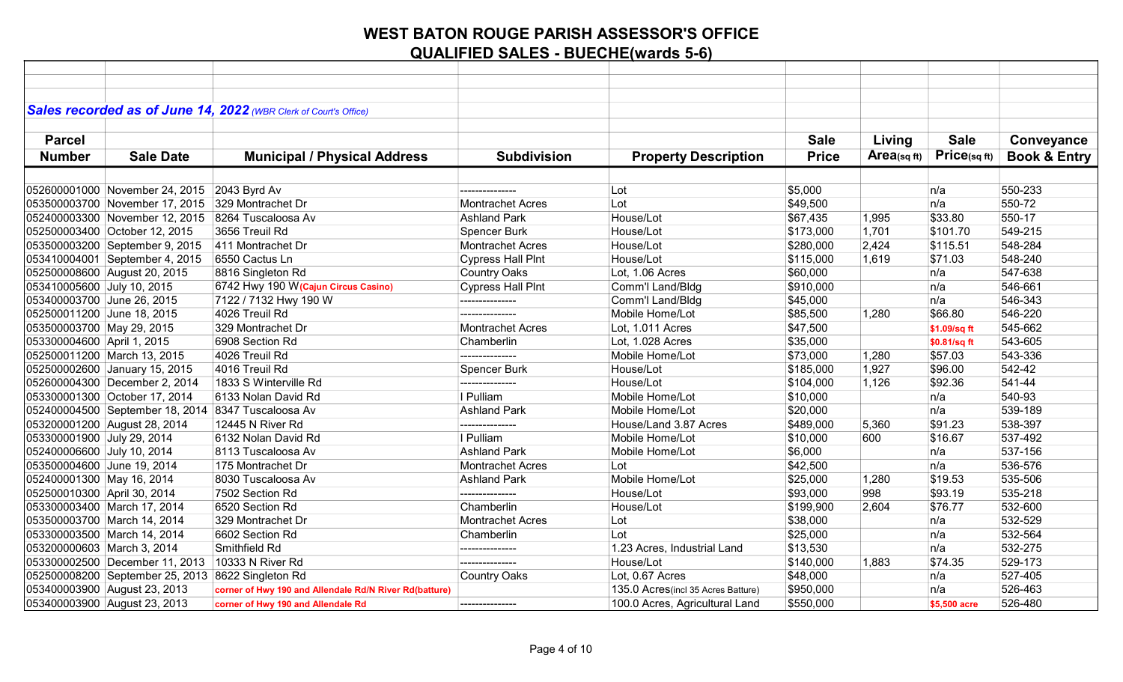|                             |                                                    | Sales recorded as of June 14, 2022 (WBR Clerk of Court's Office) |                          |                                    |              |            |                 |                         |
|-----------------------------|----------------------------------------------------|------------------------------------------------------------------|--------------------------|------------------------------------|--------------|------------|-----------------|-------------------------|
|                             |                                                    |                                                                  |                          |                                    |              |            |                 |                         |
| <b>Parcel</b>               |                                                    |                                                                  |                          |                                    | <b>Sale</b>  | Living     | <b>Sale</b>     |                         |
|                             |                                                    |                                                                  |                          |                                    |              |            | $Price$ (sq ft) | Conveyance              |
| <b>Number</b>               | <b>Sale Date</b>                                   | <b>Municipal / Physical Address</b>                              | <b>Subdivision</b>       | <b>Property Description</b>        | <b>Price</b> | Area(sqft) |                 | <b>Book &amp; Entry</b> |
|                             |                                                    |                                                                  |                          |                                    |              |            |                 |                         |
|                             | 052600001000 November 24, 2015                     | 2043 Byrd Av                                                     | ---------------          | Lot                                | \$5,000      |            | n/a             | 550-233                 |
|                             | 053500003700 November 17, 2015                     | 329 Montrachet Dr                                                | <b>Montrachet Acres</b>  | Lot                                | \$49,500     |            | n/a             | 550-72                  |
|                             | 052400003300 November 12, 2015                     | 8264 Tuscaloosa Av                                               | <b>Ashland Park</b>      | House/Lot                          | \$67,435     | 1,995      | \$33.80         | 550-17                  |
|                             | 052500003400 October 12, 2015                      | 3656 Treuil Rd                                                   | <b>Spencer Burk</b>      | House/Lot                          | \$173,000    | 1,701      | \$101.70        | 549-215                 |
|                             | 053500003200 September 9, 2015                     | 411 Montrachet Dr                                                | <b>Montrachet Acres</b>  | House/Lot                          | \$280,000    | 2,424      | \$115.51        | 548-284                 |
|                             | 053410004001 September 4, 2015                     | 6550 Cactus Ln                                                   | <b>Cypress Hall PInt</b> | House/Lot                          | \$115,000    | 1,619      | \$71.03         | 548-240                 |
|                             | 052500008600 August 20, 2015                       | 8816 Singleton Rd                                                | <b>Country Oaks</b>      | Lot, 1.06 Acres                    | \$60,000     |            | n/a             | 547-638                 |
| 053410005600 July 10, 2015  |                                                    | 6742 Hwy 190 W (Cajun Circus Casino)                             | <b>Cypress Hall PInt</b> | Comm'l Land/Bldg                   | \$910,000    |            | n/a             | 546-661                 |
| 053400003700 June 26, 2015  |                                                    | 7122 / 7132 Hwy 190 W                                            | ---------------          | Comm'l Land/Bldg                   | \$45,000     |            | n/a             | 546-343                 |
| 052500011200 June 18, 2015  |                                                    | 4026 Treuil Rd                                                   | ---------------          | Mobile Home/Lot                    | \$85,500     | 1,280      | \$66.80         | 546-220                 |
| 053500003700 May 29, 2015   |                                                    | 329 Montrachet Dr                                                | <b>Montrachet Acres</b>  | Lot, 1.011 Acres                   | \$47,500     |            | \$1.09/sq ft    | 545-662                 |
| 053300004600 April 1, 2015  |                                                    | 6908 Section Rd                                                  | Chamberlin               | Lot, 1.028 Acres                   | \$35,000     |            | \$0.81/sq ft    | 543-605                 |
|                             | 052500011200 March 13, 2015                        | 4026 Treuil Rd                                                   | ---------------          | Mobile Home/Lot                    | \$73,000     | 1,280      | \$57.03         | 543-336                 |
|                             | 052500002600 January 15, 2015                      | 4016 Treuil Rd                                                   | <b>Spencer Burk</b>      | House/Lot                          | \$185,000    | 1,927      | \$96.00         | 542-42                  |
|                             | 052600004300 December 2, 2014                      | 1833 S Winterville Rd                                            | ---------------          | House/Lot                          | \$104,000    | 1,126      | \$92.36         | 541-44                  |
|                             | 053300001300 October 17, 2014                      | 6133 Nolan David Rd                                              | I Pulliam                | Mobile Home/Lot                    | \$10,000     |            | n/a             | 540-93                  |
|                             | 052400004500 September 18, 2014 8347 Tuscaloosa Av |                                                                  | <b>Ashland Park</b>      | Mobile Home/Lot                    | \$20,000     |            | n/a             | 539-189                 |
|                             | 053200001200 August 28, 2014                       | 12445 N River Rd                                                 |                          | House/Land 3.87 Acres              | \$489,000    | 5,360      | \$91.23         | 538-397                 |
| 053300001900 July 29, 2014  |                                                    | 6132 Nolan David Rd                                              | I Pulliam                | Mobile Home/Lot                    | \$10,000     | 600        | \$16.67         | 537-492                 |
| 052400006600 July 10, 2014  |                                                    | 8113 Tuscaloosa Av                                               | <b>Ashland Park</b>      | Mobile Home/Lot                    | \$6,000      |            | n/a             | 537-156                 |
| 053500004600 June 19, 2014  |                                                    | 175 Montrachet Dr                                                | Montrachet Acres         | Lot                                | \$42,500     |            | n/a             | 536-576                 |
| 052400001300 May 16, 2014   |                                                    | 8030 Tuscaloosa Av                                               | <b>Ashland Park</b>      | Mobile Home/Lot                    | \$25,000     | 1,280      | \$19.53         | 535-506                 |
| 052500010300 April 30, 2014 |                                                    | 7502 Section Rd                                                  | ---------------          | House/Lot                          | \$93,000     | 998        | \$93.19         | 535-218                 |
|                             | 053300003400 March 17, 2014                        | 6520 Section Rd                                                  | Chamberlin               | House/Lot                          | \$199,900    | 2,604      | \$76.77         | 532-600                 |
|                             | 053500003700 March 14, 2014                        | 329 Montrachet Dr                                                | <b>Montrachet Acres</b>  | Lot                                | \$38,000     |            | n/a             | 532-529                 |
|                             | 053300003500 March 14, 2014                        | 6602 Section Rd                                                  | Chamberlin               | Lot                                | \$25,000     |            | n/a             | 532-564                 |
| 053200000603 March 3, 2014  |                                                    | Smithfield Rd                                                    | ---------------          | 1.23 Acres, Industrial Land        | \$13,530     |            | n/a             | 532-275                 |
|                             | 053300002500 December 11, 2013 10333 N River Rd    |                                                                  | ---------------          | House/Lot                          | \$140,000    | 1,883      | \$74.35         | 529-173                 |
|                             | 052500008200 September 25, 2013 8622 Singleton Rd  |                                                                  | <b>Country Oaks</b>      | Lot, 0.67 Acres                    | \$48,000     |            | n/a             | 527-405                 |
|                             | 053400003900 August 23, 2013                       | corner of Hwy 190 and Allendale Rd/N River Rd(batture)           |                          | 135.0 Acres(incl 35 Acres Batture) | \$950,000    |            | n/a             | 526-463                 |
|                             | 053400003900 August 23, 2013                       | corner of Hwy 190 and Allendale Rd                               | --------------           | 100.0 Acres, Agricultural Land     | \$550,000    |            | \$5,500 acre    | 526-480                 |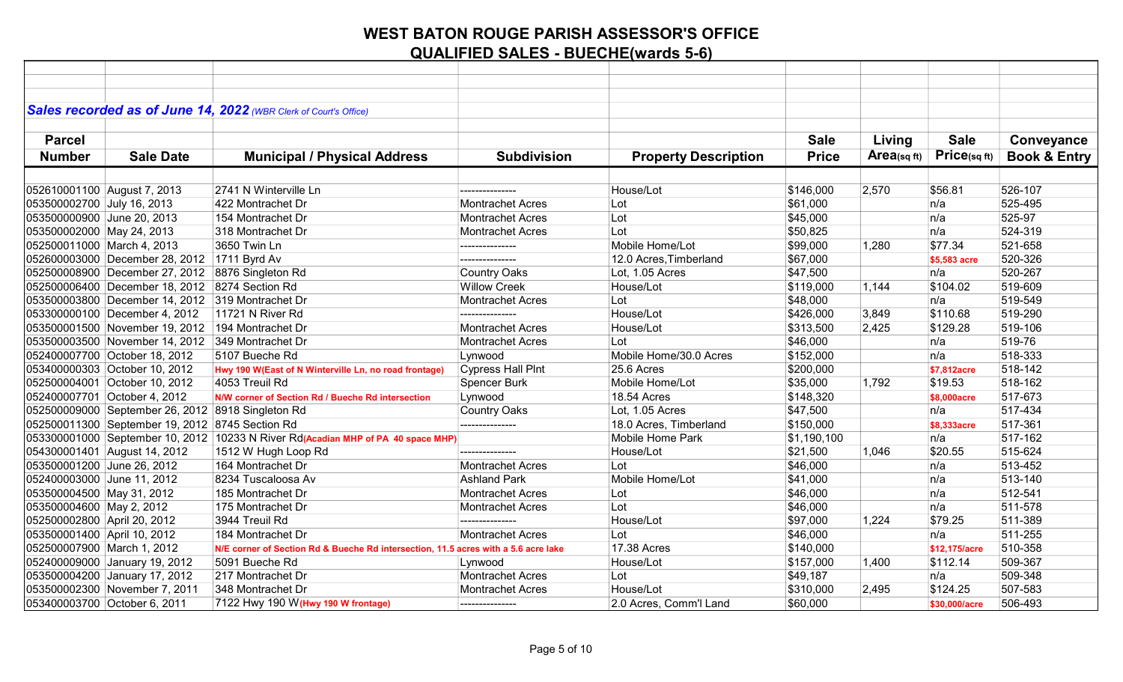|                                                   | Sales recorded as of June 14, 2022 (WBR Clerk of Court's Office)                 |                                                                                    |                          |                             |              |             |               |                         |
|---------------------------------------------------|----------------------------------------------------------------------------------|------------------------------------------------------------------------------------|--------------------------|-----------------------------|--------------|-------------|---------------|-------------------------|
|                                                   |                                                                                  |                                                                                    |                          |                             |              |             |               |                         |
| <b>Parcel</b>                                     |                                                                                  |                                                                                    |                          |                             | <b>Sale</b>  | Living      | <b>Sale</b>   | Conveyance              |
| <b>Number</b><br><b>Sale Date</b>                 | <b>Municipal / Physical Address</b>                                              |                                                                                    | <b>Subdivision</b>       | <b>Property Description</b> | <b>Price</b> | Area(sq ft) | Price(sqft)   | <b>Book &amp; Entry</b> |
|                                                   |                                                                                  |                                                                                    |                          |                             |              |             |               |                         |
| 052610001100 August 7, 2013                       | 2741 N Winterville Ln                                                            |                                                                                    | --------------           | House/Lot                   | \$146,000    | 2,570       | \$56.81       | 526-107                 |
| 053500002700 July 16, 2013                        | 422 Montrachet Dr                                                                |                                                                                    | <b>Montrachet Acres</b>  | Lot                         | \$61,000     |             | n/a           | 525-495                 |
| 053500000900 June 20, 2013                        | 154 Montrachet Dr                                                                |                                                                                    | Montrachet Acres         | Lot                         | \$45,000     |             | n/a           | 525-97                  |
| 053500002000 May 24, 2013                         | 318 Montrachet Dr                                                                |                                                                                    | <b>Montrachet Acres</b>  | Lot                         | \$50,825     |             | n/a           | 524-319                 |
| 052500011000 March 4, 2013                        | 3650 Twin Ln                                                                     |                                                                                    | ---------------          | Mobile Home/Lot             | \$99,000     | 1,280       | \$77.34       | 521-658                 |
| 052600003000 December 28, 2012 1711 Byrd Av       |                                                                                  |                                                                                    | ---------------          | 12.0 Acres, Timberland      | \$67,000     |             | \$5,583 acre  | 520-326                 |
| 052500008900 December 27, 2012 8876 Singleton Rd  |                                                                                  |                                                                                    | <b>Country Oaks</b>      | Lot, 1.05 Acres             | \$47,500     |             | n/a           | 520-267                 |
| 052500006400 December 18, 2012 8274 Section Rd    |                                                                                  |                                                                                    | <b>Willow Creek</b>      | House/Lot                   | \$119,000    | 1,144       | \$104.02      | 519-609                 |
| 053500003800 December 14, 2012 319 Montrachet Dr  |                                                                                  |                                                                                    | <b>Montrachet Acres</b>  | Lot                         | \$48,000     |             | n/a           | 519-549                 |
| 053300000100 December 4, 2012                     | 11721 N River Rd                                                                 |                                                                                    | ---------------          | House/Lot                   | \$426,000    | 3,849       | \$110.68      | 519-290                 |
| 053500001500 November 19, 2012 194 Montrachet Dr  |                                                                                  |                                                                                    | <b>Montrachet Acres</b>  | House/Lot                   | \$313,500    | 2,425       | \$129.28      | 519-106                 |
| 053500003500 November 14, 2012 349 Montrachet Dr  |                                                                                  |                                                                                    | <b>Montrachet Acres</b>  | Lot                         | \$46,000     |             | n/a           | 519-76                  |
| 052400007700 October 18, 2012                     | 5107 Bueche Rd                                                                   |                                                                                    | Lynwood                  | Mobile Home/30.0 Acres      | \$152,000    |             | n/a           | 518-333                 |
| 053400000303 October 10, 2012                     | Hwy 190 W(East of N Winterville Ln, no road frontage)                            |                                                                                    | <b>Cypress Hall Pint</b> | 25.6 Acres                  | \$200,000    |             | \$7,812acre   | 518-142                 |
| 052500004001 October 10, 2012                     | 4053 Treuil Rd                                                                   |                                                                                    | <b>Spencer Burk</b>      | Mobile Home/Lot             | \$35,000     | 1,792       | \$19.53       | 518-162                 |
| 052400007701 October 4, 2012                      | N/W corner of Section Rd / Bueche Rd intersection                                |                                                                                    | Lynwood                  | 18.54 Acres                 | \$148,320    |             | \$8,000acre   | 517-673                 |
| 052500009000 September 26, 2012 8918 Singleton Rd |                                                                                  |                                                                                    | <b>Country Oaks</b>      | Lot, 1.05 Acres             | \$47,500     |             | n/a           | 517-434                 |
| 052500011300 September 19, 2012 8745 Section Rd   |                                                                                  |                                                                                    | ---------------          | 18.0 Acres, Timberland      | \$150,000    |             | \$8,333acre   | 517-361                 |
|                                                   | 053300001000 September 10, 2012 10233 N River Rd(Acadian MHP of PA 40 space MHP) |                                                                                    |                          | <b>Mobile Home Park</b>     | \$1,190,100  |             | n/a           | 517-162                 |
| 054300001401 August 14, 2012                      | 1512 W Hugh Loop Rd                                                              |                                                                                    | --------------           | House/Lot                   | \$21,500     | 1,046       | \$20.55       | 515-624                 |
| 053500001200 June 26, 2012                        | 164 Montrachet Dr                                                                |                                                                                    | <b>Montrachet Acres</b>  | Lot                         | \$46,000     |             | n/a           | 513-452                 |
| 052400003000 June 11, 2012                        | 8234 Tuscaloosa Av                                                               |                                                                                    | <b>Ashland Park</b>      | Mobile Home/Lot             | \$41,000     |             | n/a           | 513-140                 |
| 053500004500 May 31, 2012                         | 185 Montrachet Dr                                                                |                                                                                    | <b>Montrachet Acres</b>  | Lot                         | \$46,000     |             | n/a           | 512-541                 |
| 053500004600 May 2, 2012                          | 175 Montrachet Dr                                                                |                                                                                    | Montrachet Acres         | Lot                         | \$46,000     |             | n/a           | 511-578                 |
| 052500002800 April 20, 2012                       | 3944 Treuil Rd                                                                   |                                                                                    | ---------------          | House/Lot                   | \$97,000     | 1,224       | \$79.25       | 511-389                 |
| 053500001400 April 10, 2012                       | 184 Montrachet Dr                                                                |                                                                                    | <b>Montrachet Acres</b>  | Lot                         | \$46,000     |             | n/a           | 511-255                 |
| 052500007900 March 1, 2012                        |                                                                                  | N/E corner of Section Rd & Bueche Rd intersection, 11.5 acres with a 5.6 acre lake |                          | 17.38 Acres                 | \$140,000    |             | \$12,175/acre | 510-358                 |
| 052400009000 January 19, 2012                     | 5091 Bueche Rd                                                                   |                                                                                    | Lynwood                  | House/Lot                   | \$157,000    | 1,400       | \$112.14      | 509-367                 |
| 053500004200 January 17, 2012                     | 217 Montrachet Dr                                                                |                                                                                    | <b>Montrachet Acres</b>  | Lot                         | \$49,187     |             | n/a           | 509-348                 |
| 053500002300 November 7, 2011                     | 348 Montrachet Dr                                                                |                                                                                    | <b>Montrachet Acres</b>  | House/Lot                   | \$310,000    | 2,495       | \$124.25      | 507-583                 |
| 053400003700 October 6, 2011                      | 7122 Hwy 190 W (Hwy 190 W frontage)                                              |                                                                                    | ---------------          | 2.0 Acres, Comm'l Land      | \$60,000     |             | \$30,000/acre | 506-493                 |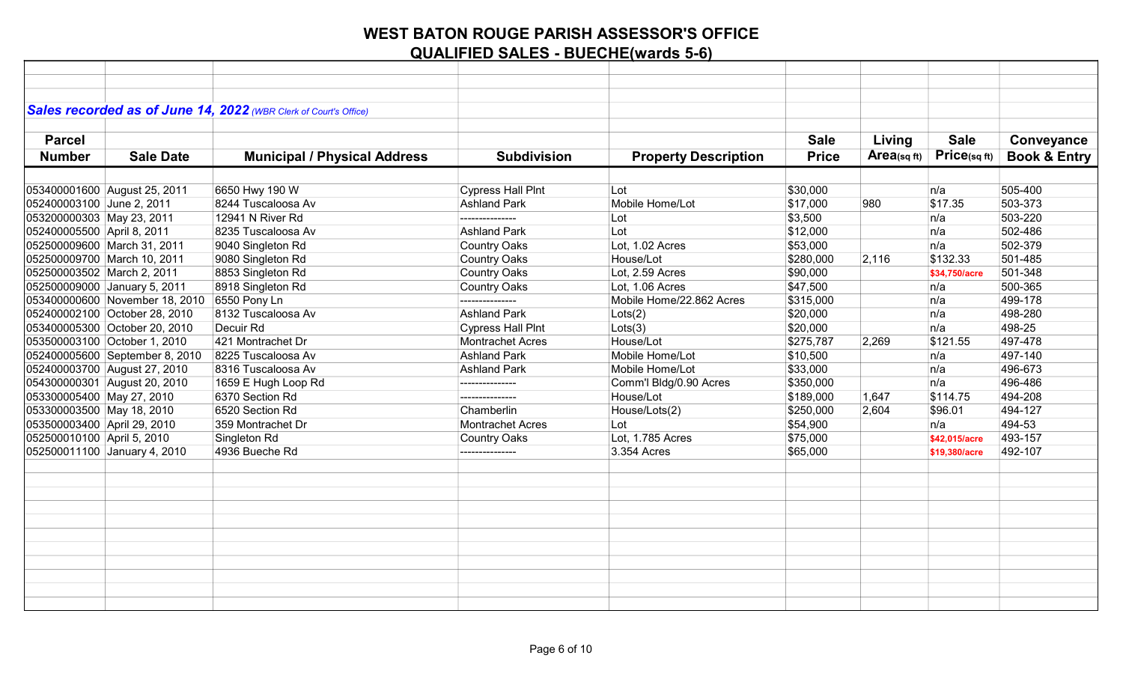|                             |                                             | Sales recorded as of June 14, 2022 (WBR Clerk of Court's Office) |                          |                             |              |            |               |                         |
|-----------------------------|---------------------------------------------|------------------------------------------------------------------|--------------------------|-----------------------------|--------------|------------|---------------|-------------------------|
|                             |                                             |                                                                  |                          |                             |              |            |               |                         |
| <b>Parcel</b>               |                                             |                                                                  |                          |                             | <b>Sale</b>  | Living     | <b>Sale</b>   | Conveyance              |
| <b>Number</b>               | <b>Sale Date</b>                            | <b>Municipal / Physical Address</b>                              | <b>Subdivision</b>       | <b>Property Description</b> | <b>Price</b> | Area(sqft) | Price(sqft)   | <b>Book &amp; Entry</b> |
|                             |                                             |                                                                  |                          |                             |              |            |               |                         |
|                             | 053400001600 August 25, 2011                | 6650 Hwy 190 W                                                   | <b>Cypress Hall PInt</b> | Lot                         | \$30,000     |            | n/a           | 505-400                 |
| 052400003100 June 2, 2011   |                                             | 8244 Tuscaloosa Av                                               | <b>Ashland Park</b>      | Mobile Home/Lot             | \$17,000     | 980        | \$17.35       | 503-373                 |
| 053200000303 May 23, 2011   |                                             | 12941 N River Rd                                                 | ---------------          | Lot                         | \$3,500      |            | n/a           | 503-220                 |
| 052400005500 April 8, 2011  |                                             | 8235 Tuscaloosa Av                                               | <b>Ashland Park</b>      | Lot                         | \$12,000     |            | n/a           | 502-486                 |
| 052500009600 March 31, 2011 |                                             | 9040 Singleton Rd                                                | <b>Country Oaks</b>      | Lot, 1.02 Acres             | \$53,000     |            | n/a           | 502-379                 |
| 052500009700 March 10, 2011 |                                             | 9080 Singleton Rd                                                | <b>Country Oaks</b>      | House/Lot                   | \$280,000    | 2,116      | \$132.33      | 501-485                 |
| 052500003502 March 2, 2011  |                                             | 8853 Singleton Rd                                                | <b>Country Oaks</b>      | Lot. 2.59 Acres             | \$90,000     |            | \$34.750/acre | 501-348                 |
|                             | 052500009000 January 5, 2011                | 8918 Singleton Rd                                                | <b>Country Oaks</b>      | Lot. 1.06 Acres             | \$47,500     |            | n/a           | 500-365                 |
|                             | 053400000600 November 18, 2010 6550 Pony Ln |                                                                  | ---------------          | Mobile Home/22.862 Acres    | \$315,000    |            | n/a           | 499-178                 |
|                             | 052400002100 October 28, 2010               | 8132 Tuscaloosa Av                                               | <b>Ashland Park</b>      | Lots(2)                     | \$20,000     |            | n/a           | 498-280                 |
|                             | 053400005300 October 20, 2010               | Decuir Rd                                                        | <b>Cypress Hall Pint</b> | Lots(3)                     | \$20,000     |            | n/a           | 498-25                  |
|                             | 053500003100 October 1, 2010                | 421 Montrachet Dr                                                | <b>Montrachet Acres</b>  | House/Lot                   | \$275,787    | 2,269      | \$121.55      | 497-478                 |
|                             | 052400005600 September 8, 2010              | 8225 Tuscaloosa Av                                               | <b>Ashland Park</b>      | Mobile Home/Lot             | \$10,500     |            | n/a           | 497-140                 |
|                             | 052400003700 August 27, 2010                | 8316 Tuscaloosa Av                                               | <b>Ashland Park</b>      | Mobile Home/Lot             | \$33,000     |            | n/a           | 496-673                 |
|                             | 054300000301 August 20, 2010                | 1659 E Hugh Loop Rd                                              | ---------------          | Comm'l Bldg/0.90 Acres      | \$350,000    |            | n/a           | 496-486                 |
| 053300005400 May 27, 2010   |                                             | 6370 Section Rd                                                  | ---------------          | House/Lot                   | \$189,000    | 1,647      | \$114.75      | 494-208                 |
| 053300003500 May 18, 2010   |                                             | 6520 Section Rd                                                  | Chamberlin               | House/Lots(2)               | \$250,000    | 2,604      | \$96.01       | 494-127                 |
| 053500003400 April 29, 2010 |                                             | 359 Montrachet Dr                                                | <b>Montrachet Acres</b>  | Lot                         | \$54,900     |            | n/a           | 494-53                  |
| 052500010100 April 5, 2010  |                                             | Singleton Rd                                                     | <b>Country Oaks</b>      | Lot, 1.785 Acres            | \$75,000     |            | \$42,015/acre | 493-157                 |
|                             | 052500011100 January 4, 2010                | 4936 Bueche Rd                                                   | ---------------          | 3.354 Acres                 | \$65,000     |            | \$19,380/acre | 492-107                 |
|                             |                                             |                                                                  |                          |                             |              |            |               |                         |
|                             |                                             |                                                                  |                          |                             |              |            |               |                         |
|                             |                                             |                                                                  |                          |                             |              |            |               |                         |
|                             |                                             |                                                                  |                          |                             |              |            |               |                         |
|                             |                                             |                                                                  |                          |                             |              |            |               |                         |
|                             |                                             |                                                                  |                          |                             |              |            |               |                         |
|                             |                                             |                                                                  |                          |                             |              |            |               |                         |
|                             |                                             |                                                                  |                          |                             |              |            |               |                         |
|                             |                                             |                                                                  |                          |                             |              |            |               |                         |
|                             |                                             |                                                                  |                          |                             |              |            |               |                         |
|                             |                                             |                                                                  |                          |                             |              |            |               |                         |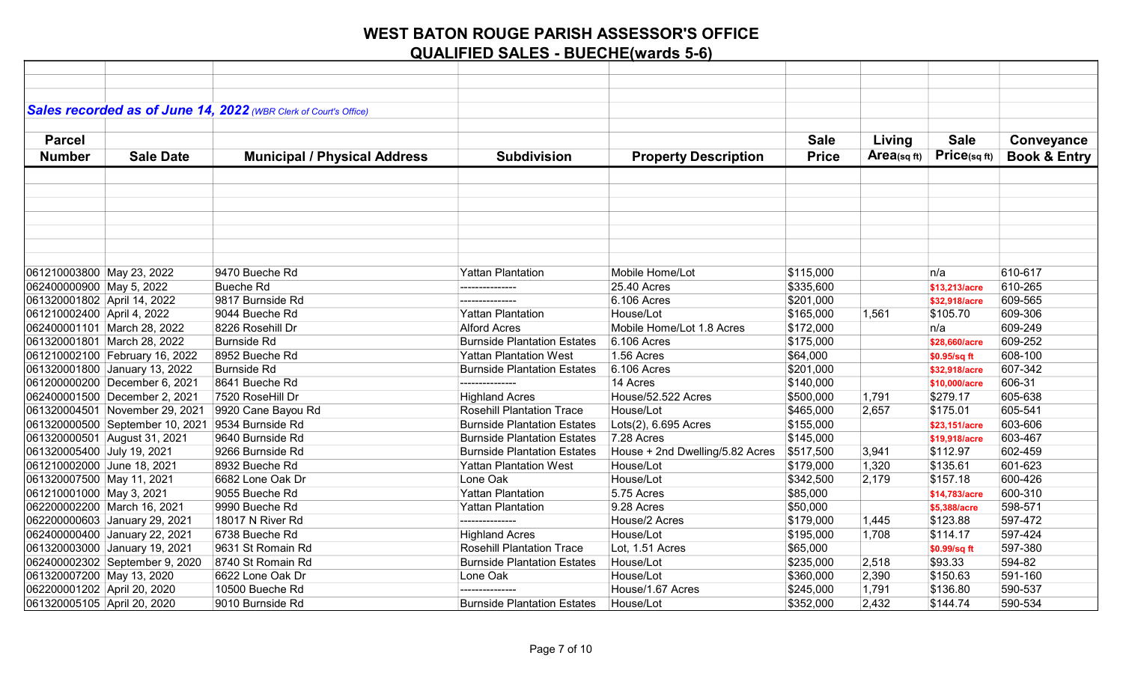|                             |                                                  | Sales recorded as of June 14, 2022 (WBR Clerk of Court's Office) |                                    |                                 |              |            |               |                         |
|-----------------------------|--------------------------------------------------|------------------------------------------------------------------|------------------------------------|---------------------------------|--------------|------------|---------------|-------------------------|
|                             |                                                  |                                                                  |                                    |                                 |              |            |               |                         |
| <b>Parcel</b>               |                                                  |                                                                  |                                    |                                 | <b>Sale</b>  | Living     | <b>Sale</b>   | Conveyance              |
| <b>Number</b>               | <b>Sale Date</b>                                 | <b>Municipal / Physical Address</b>                              | <b>Subdivision</b>                 | <b>Property Description</b>     | <b>Price</b> | Area(sqft) | Price(sq ft)  | <b>Book &amp; Entry</b> |
|                             |                                                  |                                                                  |                                    |                                 |              |            |               |                         |
|                             |                                                  |                                                                  |                                    |                                 |              |            |               |                         |
|                             |                                                  |                                                                  |                                    |                                 |              |            |               |                         |
|                             |                                                  |                                                                  |                                    |                                 |              |            |               |                         |
|                             |                                                  |                                                                  |                                    |                                 |              |            |               |                         |
|                             |                                                  |                                                                  |                                    |                                 |              |            |               |                         |
|                             |                                                  |                                                                  |                                    |                                 |              |            |               |                         |
| 061210003800 May 23, 2022   |                                                  | 9470 Bueche Rd                                                   | <b>Yattan Plantation</b>           | Mobile Home/Lot                 | \$115,000    |            | n/a           | 610-617                 |
| 062400000900 May 5, 2022    |                                                  | <b>Bueche Rd</b>                                                 |                                    | 25.40 Acres                     | \$335,600    |            | \$13,213/acre | 610-265                 |
| 061320001802 April 14, 2022 |                                                  | 9817 Burnside Rd                                                 |                                    | 6.106 Acres                     | \$201,000    |            | \$32,918/acre | 609-565                 |
| 061210002400 April 4, 2022  |                                                  | 9044 Bueche Rd                                                   | <b>Yattan Plantation</b>           | House/Lot                       | \$165,000    | 1,561      | \$105.70      | 609-306                 |
|                             | 062400001101 March 28, 2022                      | 8226 Rosehill Dr                                                 | <b>Alford Acres</b>                | Mobile Home/Lot 1.8 Acres       | \$172,000    |            | n/a           | 609-249                 |
|                             | 061320001801 March 28, 2022                      | <b>Burnside Rd</b>                                               | <b>Burnside Plantation Estates</b> | 6.106 Acres                     | \$175,000    |            | \$28,660/acre | 609-252                 |
|                             | 061210002100 February 16, 2022                   | 8952 Bueche Rd                                                   | <b>Yattan Plantation West</b>      | 1.56 Acres                      | \$64,000     |            | \$0.95/sq ft  | 608-100                 |
|                             | 061320001800 January 13, 2022                    | <b>Burnside Rd</b>                                               | <b>Burnside Plantation Estates</b> | 6.106 Acres                     | \$201,000    |            | \$32,918/acre | 607-342                 |
|                             | 061200000200 December 6, 2021                    | 8641 Bueche Rd                                                   | ---------------                    | 14 Acres                        | \$140,000    |            | \$10,000/acre | 606-31                  |
|                             | 062400001500 December 2, 2021                    | 7520 RoseHill Dr                                                 | <b>Highland Acres</b>              | House/52.522 Acres              | \$500,000    | 1,791      | \$279.17      | 605-638                 |
|                             | 061320004501 November 29, 2021                   | 9920 Cane Bayou Rd                                               | <b>Rosehill Plantation Trace</b>   | House/Lot                       | \$465,000    | 2,657      | \$175.01      | 605-541                 |
|                             | 061320000500 September 10, 2021 9534 Burnside Rd |                                                                  | <b>Burnside Plantation Estates</b> | Lots(2), 6.695 Acres            | \$155,000    |            | \$23,151/acre | 603-606                 |
|                             | 061320000501 August 31, 2021                     | 9640 Burnside Rd                                                 | <b>Burnside Plantation Estates</b> | 7.28 Acres                      | \$145,000    |            | \$19,918/acre | 603-467                 |
| 061320005400 July 19, 2021  |                                                  | 9266 Burnside Rd                                                 | <b>Burnside Plantation Estates</b> | House + 2nd Dwelling/5.82 Acres | \$517,500    | 3,941      | \$112.97      | 602-459                 |
| 061210002000 June 18, 2021  |                                                  | 8932 Bueche Rd                                                   | <b>Yattan Plantation West</b>      | House/Lot                       | \$179,000    | 1,320      | \$135.61      | 601-623                 |
| 061320007500 May 11, 2021   |                                                  | 6682 Lone Oak Dr                                                 | Lone Oak                           | House/Lot                       | \$342,500    | 2,179      | \$157.18      | 600-426                 |
| 061210001000 May 3, 2021    |                                                  | 9055 Bueche Rd                                                   | <b>Yattan Plantation</b>           | 5.75 Acres                      | \$85,000     |            | \$14,783/acre | 600-310                 |
| 062200002200 March 16, 2021 |                                                  | 9990 Bueche Rd                                                   | Yattan Plantation                  | 9.28 Acres                      | \$50,000     |            | \$5,388/acre  | 598-571                 |
|                             | 062200000603 January 29, 2021                    | 18017 N River Rd                                                 |                                    | House/2 Acres                   | \$179,000    | 1,445      | \$123.88      | 597-472                 |
|                             | 062400000400 January 22, 2021                    | 6738 Bueche Rd                                                   | <b>Highland Acres</b>              | House/Lot                       | \$195,000    | 1,708      | \$114.17      | 597-424                 |
|                             | 061320003000 January 19, 2021                    | 9631 St Romain Rd                                                | <b>Rosehill Plantation Trace</b>   | Lot, 1.51 Acres                 | \$65,000     |            | \$0.99/sq ft  | 597-380                 |
|                             | 062400002302 September 9, 2020                   | 8740 St Romain Rd                                                | <b>Burnside Plantation Estates</b> | House/Lot                       | \$235,000    | 2,518      | \$93.33       | 594-82                  |
| 061320007200 May 13, 2020   |                                                  | 6622 Lone Oak Dr                                                 | Lone Oak                           | House/Lot                       | \$360,000    | 2,390      | \$150.63      | 591-160                 |
| 062200001202 April 20, 2020 |                                                  | 10500 Bueche Rd                                                  |                                    | House/1.67 Acres                | \$245,000    | 1,791      | \$136.80      | 590-537                 |
| 061320005105 April 20, 2020 |                                                  | 9010 Burnside Rd                                                 | <b>Burnside Plantation Estates</b> | House/Lot                       | \$352,000    | 2,432      | \$144.74      | 590-534                 |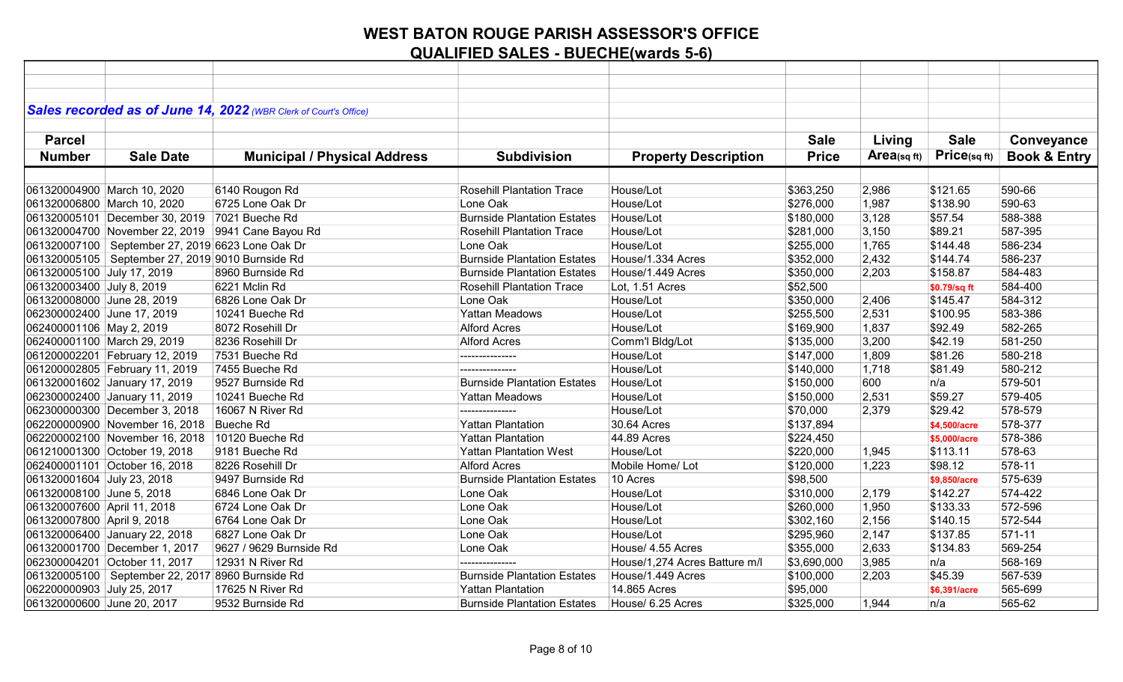|                             |                                                    | Sales recorded as of June 14, 2022 (WBR Clerk of Court's Office) |                                    |                               |              |            |                 |                         |
|-----------------------------|----------------------------------------------------|------------------------------------------------------------------|------------------------------------|-------------------------------|--------------|------------|-----------------|-------------------------|
|                             |                                                    |                                                                  |                                    |                               |              |            |                 |                         |
| <b>Parcel</b>               |                                                    |                                                                  |                                    |                               | <b>Sale</b>  | Living     | <b>Sale</b>     | Conveyance              |
| <b>Number</b>               | <b>Sale Date</b>                                   | <b>Municipal / Physical Address</b>                              | <b>Subdivision</b>                 | <b>Property Description</b>   | <b>Price</b> | Area(sqft) | $Price$ (sq ft) | <b>Book &amp; Entry</b> |
|                             |                                                    |                                                                  |                                    |                               |              |            |                 |                         |
|                             | 061320004900 March 10, 2020                        | 6140 Rougon Rd                                                   | <b>Rosehill Plantation Trace</b>   | House/Lot                     | \$363,250    | 2,986      | \$121.65        | 590-66                  |
|                             | 061320006800 March 10, 2020                        | 6725 Lone Oak Dr                                                 | Lone Oak                           | House/Lot                     | \$276,000    | 1,987      | \$138.90        | 590-63                  |
|                             | 061320005101 December 30, 2019 7021 Bueche Rd      |                                                                  | <b>Burnside Plantation Estates</b> | House/Lot                     | \$180,000    | 3,128      | \$57.54         | 588-388                 |
|                             |                                                    | 061320004700 November 22, 2019 9941 Cane Bayou Rd                | <b>Rosehill Plantation Trace</b>   | House/Lot                     | \$281,000    | 3,150      | \$89.21         | 587-395                 |
|                             | 061320007100   September 27, 2019 6623 Lone Oak Dr |                                                                  | Lone Oak                           | House/Lot                     | \$255,000    | 1,765      | \$144.48        | 586-234                 |
|                             | 061320005105   September 27, 2019 9010 Burnside Rd |                                                                  | <b>Burnside Plantation Estates</b> | House/1.334 Acres             | \$352,000    | 2,432      | \$144.74        | 586-237                 |
| 061320005100 July 17, 2019  |                                                    | 8960 Burnside Rd                                                 | <b>Burnside Plantation Estates</b> | House/1.449 Acres             | \$350,000    | 2,203      | \$158.87        | 584-483                 |
| 061320003400 July 8, 2019   |                                                    | 6221 Mclin Rd                                                    | <b>Rosehill Plantation Trace</b>   | Lot, 1.51 Acres               | \$52,500     |            | \$0.79/sq ft    | 584-400                 |
| 061320008000 June 28, 2019  |                                                    | 6826 Lone Oak Dr                                                 | Lone Oak                           | House/Lot                     | \$350,000    | 2,406      | \$145.47        | 584-312                 |
| 062300002400 June 17, 2019  |                                                    | 10241 Bueche Rd                                                  | <b>Yattan Meadows</b>              | House/Lot                     | 3255,500     | 2,531      | \$100.95        | 583-386                 |
| 062400001106 May 2, 2019    |                                                    | 8072 Rosehill Dr                                                 | <b>Alford Acres</b>                | House/Lot                     | \$169,900    | 1,837      | \$92.49         | 582-265                 |
|                             | 062400001100 March 29, 2019                        | 8236 Rosehill Dr                                                 | <b>Alford Acres</b>                | Comm'l Bldg/Lot               | \$135,000    | 3,200      | \$42.19         | 581-250                 |
|                             | 061200002201 February 12, 2019                     | 7531 Bueche Rd                                                   | ---------------                    | House/Lot                     | \$147,000    | 1,809      | \$81.26         | 580-218                 |
|                             | 061200002805 February 11, 2019                     | 7455 Bueche Rd                                                   | ---------------                    | House/Lot                     | \$140,000    | 1,718      | \$81.49         | 580-212                 |
|                             | 061320001602 January 17, 2019                      | 9527 Burnside Rd                                                 | <b>Burnside Plantation Estates</b> | House/Lot                     | \$150,000    | 600        | n/a             | 579-501                 |
|                             | 062300002400 January 11, 2019                      | 10241 Bueche Rd                                                  | <b>Yattan Meadows</b>              | House/Lot                     | \$150,000    | 2,531      | \$59.27         | 579-405                 |
|                             | 062300000300 December 3, 2018                      | 16067 N River Rd                                                 | ---------------                    | House/Lot                     | \$70,000     | 2,379      | \$29.42         | 578-579                 |
|                             | 062200000900 November 16, 2018                     | Bueche Rd                                                        | <b>Yattan Plantation</b>           | 30.64 Acres                   | \$137,894    |            | \$4,500/acre    | 578-377                 |
|                             | 062200002100 November 16, 2018 10120 Bueche Rd     |                                                                  | <b>Yattan Plantation</b>           | 44.89 Acres                   | \$224,450    |            | \$5,000/acre    | 578-386                 |
|                             | 061210001300 October 19, 2018                      | 9181 Bueche Rd                                                   | <b>Yattan Plantation West</b>      | House/Lot                     | \$220,000    | 1,945      | \$113.11        | 578-63                  |
|                             | 062400001101 October 16, 2018                      | 8226 Rosehill Dr                                                 | <b>Alford Acres</b>                | Mobile Home/ Lot              | \$120,000    | 1,223      | \$98.12         | 578-11                  |
| 061320001604 July 23, 2018  |                                                    | 9497 Burnside Rd                                                 | <b>Burnside Plantation Estates</b> | 10 Acres                      | \$98,500     |            | \$9,850/acre    | 575-639                 |
| 061320008100 June 5, 2018   |                                                    | 6846 Lone Oak Dr                                                 | Lone Oak                           | House/Lot                     | \$310,000    | 2,179      | \$142.27        | 574-422                 |
| 061320007600 April 11, 2018 |                                                    | 6724 Lone Oak Dr                                                 | Lone Oak                           | House/Lot                     | \$260,000    | 1,950      | \$133.33        | 572-596                 |
| 061320007800 April 9, 2018  |                                                    | 6764 Lone Oak Dr                                                 | Lone Oak                           | House/Lot                     | \$302,160    | 2,156      | \$140.15        | 572-544                 |
|                             | 061320006400 January 22, 2018                      | 6827 Lone Oak Dr                                                 | Lone Oak                           | House/Lot                     | \$295,960    | 2,147      | \$137.85        | 571-11                  |
|                             | 061320001700 December 1, 2017                      | 9627 / 9629 Burnside Rd                                          | Lone Oak                           | House/ 4.55 Acres             | \$355,000    | 2,633      | \$134.83        | 569-254                 |
|                             | 062300004201 October 11, 2017                      | 12931 N River Rd                                                 | ---------------                    | House/1,274 Acres Batture m/l | \$3,690,000  | 3,985      | n/a             | 568-169                 |
|                             | 061320005100   September 22, 2017 8960 Burnside Rd |                                                                  | <b>Burnside Plantation Estates</b> | House/1.449 Acres             | \$100,000    | 2,203      | \$45.39         | 567-539                 |
| 062200000903 July 25, 2017  |                                                    | 17625 N River Rd                                                 | <b>Yattan Plantation</b>           | 14.865 Acres                  | \$95,000     |            | \$6,391/acre    | 565-699                 |
| 061320000600 June 20, 2017  |                                                    | 9532 Burnside Rd                                                 | <b>Burnside Plantation Estates</b> | House/ 6.25 Acres             | \$325,000    | 1,944      | ∣n/a            | 565-62                  |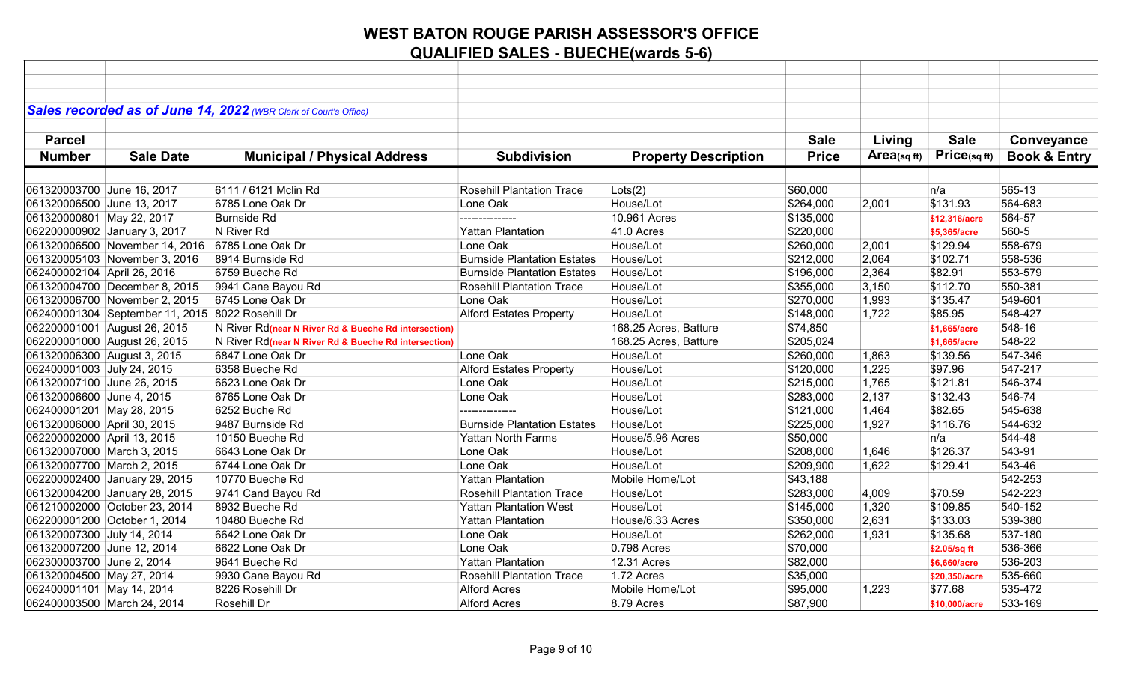|                             |                                                  | Sales recorded as of June 14, 2022 (WBR Clerk of Court's Office) |                                    |                             |              |            |                   |                         |
|-----------------------------|--------------------------------------------------|------------------------------------------------------------------|------------------------------------|-----------------------------|--------------|------------|-------------------|-------------------------|
|                             |                                                  |                                                                  |                                    |                             |              |            |                   |                         |
|                             |                                                  |                                                                  |                                    |                             |              |            |                   |                         |
| <b>Parcel</b>               |                                                  |                                                                  |                                    |                             | <b>Sale</b>  | Living     | <b>Sale</b>       | Conveyance              |
| <b>Number</b>               | <b>Sale Date</b>                                 | <b>Municipal / Physical Address</b>                              | <b>Subdivision</b>                 | <b>Property Description</b> | <b>Price</b> | Area(sqft) | $Price_{(sq ft)}$ | <b>Book &amp; Entry</b> |
|                             |                                                  |                                                                  |                                    |                             |              |            |                   |                         |
| 061320003700 June 16, 2017  |                                                  | 6111 / 6121 Mclin Rd                                             | <b>Rosehill Plantation Trace</b>   | Lots(2)                     | \$60,000     |            | n/a               | 565-13                  |
| 061320006500 June 13, 2017  |                                                  | 6785 Lone Oak Dr                                                 | Lone Oak                           | House/Lot                   | \$264,000    | 2,001      | \$131.93          | 564-683                 |
| 061320000801 May 22, 2017   |                                                  | <b>Burnside Rd</b>                                               |                                    | 10.961 Acres                | \$135,000    |            | \$12,316/acre     | 564-57                  |
|                             | 062200000902 January 3, 2017                     | N River Rd                                                       | <b>Yattan Plantation</b>           | 41.0 Acres                  | \$220,000    |            | \$5,365/acre      | 560-5                   |
|                             | 061320006500 November 14, 2016                   | 6785 Lone Oak Dr                                                 | Lone Oak                           | House/Lot                   | \$260,000    | 2,001      | \$129.94          | 558-679                 |
|                             | 061320005103 November 3, 2016                    | 8914 Burnside Rd                                                 | <b>Burnside Plantation Estates</b> | House/Lot                   | \$212,000    | 2,064      | \$102.71          | 558-536                 |
| 062400002104 April 26, 2016 |                                                  | 6759 Bueche Rd                                                   | <b>Burnside Plantation Estates</b> | House/Lot                   | \$196,000    | 2,364      | \$82.91           | 553-579                 |
|                             | 061320004700 December 8, 2015                    | 9941 Cane Bayou Rd                                               | <b>Rosehill Plantation Trace</b>   | House/Lot                   | \$355,000    | 3,150      | \$112.70          | 550-381                 |
|                             | 061320006700 November 2, 2015                    | 6745 Lone Oak Dr                                                 | Lone Oak                           | House/Lot                   | \$270,000    | 1,993      | \$135.47          | 549-601                 |
|                             | 062400001304 September 11, 2015 8022 Rosehill Dr |                                                                  | <b>Alford Estates Property</b>     | House/Lot                   | \$148,000    | 1,722      | \$85.95           | 548-427                 |
|                             | 062200001001 August 26, 2015                     | N River Rd(near N River Rd & Bueche Rd intersection)             |                                    | 168.25 Acres, Batture       | \$74,850     |            | \$1,665/acre      | 548-16                  |
|                             | 062200001000 August 26, 2015                     | N River Rd(near N River Rd & Bueche Rd intersection)             |                                    | 168.25 Acres, Batture       | \$205,024    |            | \$1,665/acre      | 548-22                  |
|                             | 061320006300 August 3, 2015                      | 6847 Lone Oak Dr                                                 | Lone Oak                           | House/Lot                   | \$260,000    | 1,863      | \$139.56          | 547-346                 |
| 062400001003 July 24, 2015  |                                                  | 6358 Bueche Rd                                                   | <b>Alford Estates Property</b>     | House/Lot                   | \$120,000    | 1,225      | \$97.96           | 547-217                 |
| 061320007100 June 26, 2015  |                                                  | 6623 Lone Oak Dr                                                 | Lone Oak                           | House/Lot                   | \$215,000    | 1,765      | \$121.81          | 546-374                 |
| 061320006600 June 4, 2015   |                                                  | 6765 Lone Oak Dr                                                 | Lone Oak                           | House/Lot                   | \$283,000    | 2,137      | \$132.43          | 546-74                  |
| 062400001201 May 28, 2015   |                                                  | 6252 Buche Rd                                                    |                                    | House/Lot                   | \$121,000    | 1,464      | \$82.65           | 545-638                 |
| 061320006000 April 30, 2015 |                                                  | 9487 Burnside Rd                                                 | <b>Burnside Plantation Estates</b> | House/Lot                   | \$225,000    | 1,927      | \$116.76          | 544-632                 |
| 062200002000 April 13, 2015 |                                                  | 10150 Bueche Rd                                                  | <b>Yattan North Farms</b>          | House/5.96 Acres            | \$50,000     |            | n/a               | 544-48                  |
| 061320007000 March 3, 2015  |                                                  | 6643 Lone Oak Dr                                                 | Lone Oak                           | House/Lot                   | \$208,000    | 1,646      | \$126.37          | 543-91                  |
| 061320007700 March 2, 2015  |                                                  | 6744 Lone Oak Dr                                                 | Lone Oak                           | House/Lot                   | \$209,900    | 1,622      | \$129.41          | 543-46                  |
|                             | 062200002400 January 29, 2015                    | 10770 Bueche Rd                                                  | <b>Yattan Plantation</b>           | Mobile Home/Lot             | \$43,188     |            |                   | 542-253                 |
|                             | 061320004200 January 28, 2015                    | 9741 Cand Bayou Rd                                               | <b>Rosehill Plantation Trace</b>   | House/Lot                   | \$283,000    | 4,009      | \$70.59           | 542-223                 |
|                             | 061210002000 October 23, 2014                    | 8932 Bueche Rd                                                   | <b>Yattan Plantation West</b>      | House/Lot                   | \$145,000    | 1,320      | \$109.85          | 540-152                 |
|                             | 062200001200 October 1, 2014                     | 10480 Bueche Rd                                                  | <b>Yattan Plantation</b>           | House/6.33 Acres            | \$350,000    | 2,631      | \$133.03          | 539-380                 |
| 061320007300 July 14, 2014  |                                                  | 6642 Lone Oak Dr                                                 | Lone Oak                           | House/Lot                   | \$262,000    | 1,931      | \$135.68          | 537-180                 |
| 061320007200 June 12, 2014  |                                                  | 6622 Lone Oak Dr                                                 | Lone Oak                           | 0.798 Acres                 | \$70,000     |            | \$2.05/sq ft      | 536-366                 |
| 062300003700 June 2, 2014   |                                                  | 9641 Bueche Rd                                                   | <b>Yattan Plantation</b>           | 12.31 Acres                 | \$82,000     |            | \$6,660/acre      | 536-203                 |
| 061320004500 May 27, 2014   |                                                  | 9930 Cane Bayou Rd                                               | <b>Rosehill Plantation Trace</b>   | 1.72 Acres                  | \$35,000     |            | \$20,350/acre     | 535-660                 |
| 062400001101 May 14, 2014   |                                                  | 8226 Rosehill Dr                                                 | <b>Alford Acres</b>                | Mobile Home/Lot             | \$95,000     | 1,223      | \$77.68           | 535-472                 |
|                             | 062400003500 March 24, 2014                      | Rosehill Dr                                                      | <b>Alford Acres</b>                | 8.79 Acres                  | \$87,900     |            | \$10,000/acre     | 533-169                 |